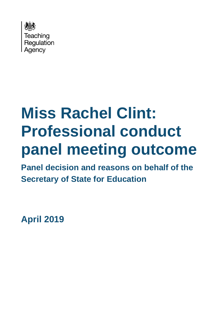

# **Miss Rachel Clint: Professional conduct panel meeting outcome**

**Panel decision and reasons on behalf of the Secretary of State for Education**

**April 2019**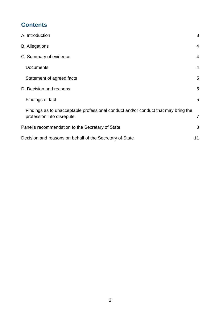# **Contents**

| A. Introduction                                                                    | 3              |  |
|------------------------------------------------------------------------------------|----------------|--|
| <b>B.</b> Allegations                                                              | $\overline{4}$ |  |
| C. Summary of evidence                                                             | $\overline{4}$ |  |
| <b>Documents</b>                                                                   | $\overline{4}$ |  |
| Statement of agreed facts                                                          | 5              |  |
| D. Decision and reasons                                                            | 5              |  |
| Findings of fact                                                                   | 5              |  |
| Findings as to unacceptable professional conduct and/or conduct that may bring the |                |  |
| profession into disrepute                                                          | 7              |  |
| Panel's recommendation to the Secretary of State                                   | 8              |  |
| Decision and reasons on behalf of the Secretary of State<br>11                     |                |  |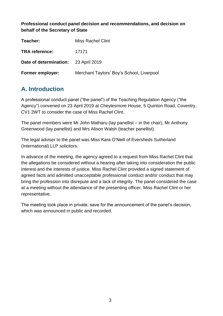**Professional conduct panel decision and recommendations, and decision on behalf of the Secretary of State**

| Teacher:                             | <b>Miss Rachel Clint</b>                  |
|--------------------------------------|-------------------------------------------|
| <b>TRA</b> reference:                | 17171                                     |
| Date of determination: 23 April 2019 |                                           |
| <b>Former employer:</b>              | Merchant Taylors' Boy's School, Liverpool |

# <span id="page-2-0"></span>**A. Introduction**

A professional conduct panel ("the panel") of the Teaching Regulation Agency ("the Agency") convened on 23 April 2019 at Cheylesmore House, 5 Quinton Road, Coventry, CV1 2WT to consider the case of Miss Rachel Clint.

The panel members were Mr John Matharu (lay panellist – in the chair), Mr Anthony Greenwood (lay panellist) and Mrs Alison Walsh (teacher panellist).

The legal adviser to the panel was Miss Kara O'Neill of Eversheds Sutherland (International) LLP solicitors.

In advance of the meeting, the agency agreed to a request from Miss Rachel Clint that the allegations be considered without a hearing after taking into consideration the public interest and the interests of justice. Miss Rachel Clint provided a signed statement of agreed facts and admitted unacceptable professional conduct and/or conduct that may bring the profession into disrepute and a lack of integrity. The panel considered the case at a meeting without the attendance of the presenting officer, Miss Rachel Clint or her representative.

The meeting took place in private, save for the announcement of the panel's decision, which was announced in public and recorded.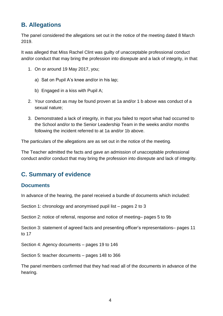## <span id="page-3-0"></span>**B. Allegations**

The panel considered the allegations set out in the notice of the meeting dated 8 March 2019.

It was alleged that Miss Rachel Clint was guilty of unacceptable professional conduct and/or conduct that may bring the profession into disrepute and a lack of integrity, in that:

- 1. On or around 19 May 2017, you;
	- a) Sat on Pupil A's knee and/or in his lap;
	- b) Engaged in a kiss with Pupil A;
- 2. Your conduct as may be found proven at 1a and/or 1 b above was conduct of a sexual nature;
- 3. Demonstrated a lack of integrity, in that you failed to report what had occurred to the School and/or to the Senior Leadership Team in the weeks and/or months following the incident referred to at 1a and/or 1b above.

The particulars of the allegations are as set out in the notice of the meeting.

The Teacher admitted the facts and gave an admission of unacceptable professional conduct and/or conduct that may bring the profession into disrepute and lack of integrity.

## <span id="page-3-1"></span>**C. Summary of evidence**

#### <span id="page-3-2"></span>**Documents**

In advance of the hearing, the panel received a bundle of documents which included:

Section 1: chronology and anonymised pupil list – pages 2 to 3

Section 2: notice of referral, response and notice of meeting– pages 5 to 9b

Section 3: statement of agreed facts and presenting officer's representations– pages 11 to 17

Section 4: Agency documents – pages 19 to 146

Section 5: teacher documents – pages 148 to 366

The panel members confirmed that they had read all of the documents in advance of the hearing.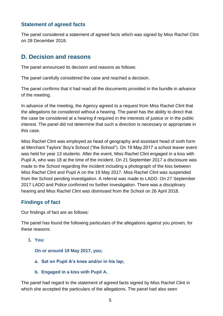## <span id="page-4-0"></span>**Statement of agreed facts**

The panel considered a statement of agreed facts which was signed by Miss Rachel Clint on 28 December 2018.

## <span id="page-4-1"></span>**D. Decision and reasons**

The panel announced its decision and reasons as follows:

The panel carefully considered the case and reached a decision.

The panel confirms that it had read all the documents provided in the bundle in advance of the meeting.

In advance of the meeting, the Agency agreed to a request from Miss Rachel Clint that the allegations be considered without a hearing. The panel has the ability to direct that the case be considered at a hearing if required in the interests of justice or in the public interest. The panel did not determine that such a direction is necessary or appropriate in this case.

Miss Rachel Clint was employed as head of geography and assistant head of sixth form at Merchant Taylors' Boy's School ("the School"). On 19 May 2017 a school leaver event was held for year 13 students. After the event, Miss Rachel Clint engaged in a kiss with Pupil A, who was 18 at the time of the incident. On 21 September 2017 a disclosure was made to the School regarding the incident including a photograph of the kiss between Miss Rachel Clint and Pupil A on the 19 May 2017. Miss Rachel Clint was suspended from the School pending investigation. A referral was made to LADO. On 27 September 2017 LADO and Police confirmed no further investigation. There was a disciplinary hearing and Miss Rachel Clint was dismissed from the School on 26 April 2018.

## <span id="page-4-2"></span>**Findings of fact**

Our findings of fact are as follows:

The panel has found the following particulars of the allegations against you proven, for these reasons:

**1. You:** 

**On or around 19 May 2017, you;** 

- **a. Sat on Pupil A's knee and/or in his lap;**
- **b. Engaged in a kiss with Pupil A.**

The panel had regard to the statement of agreed facts signed by Miss Rachel Clint in which she accepted the particulars of the allegations. The panel had also seen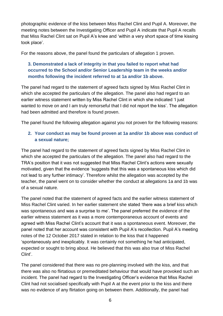photographic evidence of the kiss between Miss Rachel Clint and Pupil A. Moreover, the meeting notes between the Investigating Officer and Pupil A indicate that Pupil A recalls that Miss Rachel Clint sat on Pupil A's knee and 'within a very short space of time kissing took place'.

For the reasons above, the panel found the particulars of allegation 1 proven.

#### **3. Demonstrated a lack of integrity in that you failed to report what had occurred to the School and/or Senior Leadership team in the weeks and/or months following the incident referred to at 1a and/or 1b above.**

The panel had regard to the statement of agreed facts signed by Miss Rachel Clint in which she accepted the particulars of the allegation. The panel also had regard to an earlier witness statement written by Miss Rachel Clint in which she indicated 'I just wanted to move on and I am truly remorseful that I did not report the kiss'. The allegation had been admitted and therefore is found proven.

The panel found the following allegation against you not proven for the following reasons:

#### **2. Your conduct as may be found proven at 1a and/or 1b above was conduct of a sexual nature;**

The panel had regard to the statement of agreed facts signed by Miss Rachel Clint in which she accepted the particulars of the allegation. The panel also had regard to the TRA's position that it was not suggested that Miss Rachel Clint's actions were sexually motivated, given that the evidence 'suggests that this was a spontaneous kiss which did not lead to any further intimacy'. Therefore whilst the allegation was accepted by the teacher, the panel went on to consider whether the conduct at allegations 1a and 1b was of a sexual nature.

The panel noted that the statement of agreed facts and the earlier witness statement of Miss Rachel Clint varied. In her earlier statement she stated 'there was a brief kiss which was spontaneous and was a surprise to me'. The panel preferred the evidence of the earlier witness statement as it was a more contemporaneous account of events and agreed with Miss Rachel Clint's account that it was a spontaneous event. Moreover, the panel noted that her account was consistent with Pupil A's recollection. Pupil A's meeting notes of the 12 October 2017 stated in relation to the kiss that it happened 'spontaneously and inexplicably. It was certainly not something he had anticipated, expected or sought to bring about. He believed that this was also true of Miss Rachel Clint'.

The panel considered that there was no pre-planning involved with the kiss, and that there was also no flirtatious or premeditated behaviour that would have provoked such an incident. The panel had regard to the Investigating Officer's evidence that Miss Rachel Clint had not socialised specifically with Pupil A at the event prior to the kiss and there was no evidence of any flirtation going on between them. Additionally, the panel had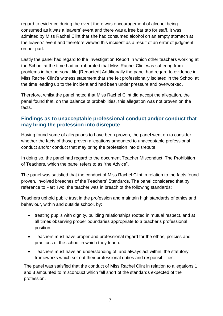regard to evidence during the event there was encouragement of alcohol being consumed as it was a leavers' event and there was a free bar tab for staff. It was admitted by Miss Rachel Clint that she had consumed alcohol on an empty stomach at the leavers' event and therefore viewed this incident as a result of an error of judgment on her part.

Lastly the panel had regard to the Investigation Report in which other teachers working at the School at the time had corroborated that Miss Rachel Clint was suffering from problems in her personal life [Redacted] Additionally the panel had regard to evidence in Miss Rachel Clint's witness statement that she felt professionally isolated in the School at the time leading up to the incident and had been under pressure and overworked.

Therefore, whilst the panel noted that Miss Rachel Clint did accept the allegation, the panel found that, on the balance of probabilities, this allegation was not proven on the facts.

#### <span id="page-6-0"></span>**Findings as to unacceptable professional conduct and/or conduct that may bring the profession into disrepute**

Having found some of allegations to have been proven, the panel went on to consider whether the facts of those proven allegations amounted to unacceptable professional conduct and/or conduct that may bring the profession into disrepute.

In doing so, the panel had regard to the document Teacher Misconduct: The Prohibition of Teachers, which the panel refers to as "the Advice".

The panel was satisfied that the conduct of Miss Rachel Clint in relation to the facts found proven, involved breaches of the Teachers' Standards. The panel considered that by reference to Part Two, the teacher was in breach of the following standards:

Teachers uphold public trust in the profession and maintain high standards of ethics and behaviour, within and outside school, by:

- treating pupils with dignity, building relationships rooted in mutual respect, and at all times observing proper boundaries appropriate to a teacher's professional position;
- Teachers must have proper and professional regard for the ethos, policies and practices of the school in which they teach.
- Teachers must have an understanding of, and always act within, the statutory frameworks which set out their professional duties and responsibilities.

The panel was satisfied that the conduct of Miss Rachel Clint in relation to allegations 1 and 3 amounted to misconduct which fell short of the standards expected of the profession.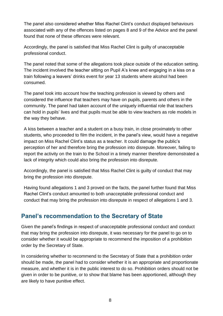The panel also considered whether Miss Rachel Clint's conduct displayed behaviours associated with any of the offences listed on pages 8 and 9 of the Advice and the panel found that none of these offences were relevant.

Accordingly, the panel is satisfied that Miss Rachel Clint is guilty of unacceptable professional conduct.

The panel noted that some of the allegations took place outside of the education setting. The incident involved the teacher sitting on Pupil A's knee and engaging in a kiss on a train following a leavers' drinks event for year 13 students where alcohol had been consumed.

The panel took into account how the teaching profession is viewed by others and considered the influence that teachers may have on pupils, parents and others in the community. The panel had taken account of the uniquely influential role that teachers can hold in pupils' lives and that pupils must be able to view teachers as role models in the way they behave.

A kiss between a teacher and a student on a busy train, in close proximately to other students, who proceeded to film the incident, in the panel's view, would have a negative impact on Miss Rachel Clint's status as a teacher. It could damage the public's perception of her and therefore bring the profession into disrepute. Moreover, failing to report the activity on the train to the School in a timely manner therefore demonstrated a lack of integrity which could also bring the profession into disrepute.

Accordingly, the panel is satisfied that Miss Rachel Clint is guilty of conduct that may bring the profession into disrepute.

Having found allegations 1 and 3 proved on the facts, the panel further found that Miss Rachel Clint's conduct amounted to both unacceptable professional conduct and conduct that may bring the profession into disrepute in respect of allegations 1 and 3.

## <span id="page-7-0"></span>**Panel's recommendation to the Secretary of State**

Given the panel's findings in respect of unacceptable professional conduct and conduct that may bring the profession into disrepute, it was necessary for the panel to go on to consider whether it would be appropriate to recommend the imposition of a prohibition order by the Secretary of State.

In considering whether to recommend to the Secretary of State that a prohibition order should be made, the panel had to consider whether it is an appropriate and proportionate measure, and whether it is in the public interest to do so. Prohibition orders should not be given in order to be punitive, or to show that blame has been apportioned, although they are likely to have punitive effect.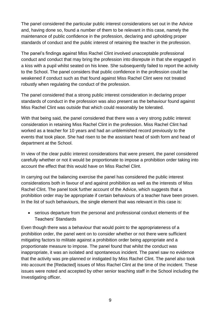The panel considered the particular public interest considerations set out in the Advice and, having done so, found a number of them to be relevant in this case, namely the maintenance of public confidence in the profession, declaring and upholding proper standards of conduct and the public interest of retaining the teacher in the profession.

The panel's findings against Miss Rachel Clint involved unacceptable professional conduct and conduct that may bring the profession into disrepute in that she engaged in a kiss with a pupil whilst seated on his knee. She subsequently failed to report the activity to the School. The panel considers that public confidence in the profession could be weakened if conduct such as that found against Miss Rachel Clint were not treated robustly when regulating the conduct of the profession.

The panel considered that a strong public interest consideration in declaring proper standards of conduct in the profession was also present as the behaviour found against Miss Rachel Clint was outside that which could reasonably be tolerated.

With that being said, the panel considered that there was a very strong public interest consideration in retaining Miss Rachel Clint in the profession. Miss Rachel Clint had worked as a teacher for 10 years and had an unblemished record previously to the events that took place. She had risen to be the assistant head of sixth form and head of department at the School.

In view of the clear public interest considerations that were present, the panel considered carefully whether or not it would be proportionate to impose a prohibition order taking into account the effect that this would have on Miss Rachel Clint.

In carrying out the balancing exercise the panel has considered the public interest considerations both in favour of and against prohibition as well as the interests of Miss Rachel Clint. The panel took further account of the Advice, which suggests that a prohibition order may be appropriate if certain behaviours of a teacher have been proven. In the list of such behaviours, the single element that was relevant in this case is:

 serious departure from the personal and professional conduct elements of the Teachers' Standards

Even though there was a behaviour that would point to the appropriateness of a prohibition order, the panel went on to consider whether or not there were sufficient mitigating factors to militate against a prohibition order being appropriate and a proportionate measure to impose. The panel found that whilst the conduct was inappropriate, it was an isolated and spontaneous incident. The panel saw no evidence that the activity was pre-planned or instigated by Miss Rachel Clint. The panel also took into account the [Redacted] issues of Miss Rachel Clint at the time of the incident. These issues were noted and accepted by other senior teaching staff in the School including the Investigating officer.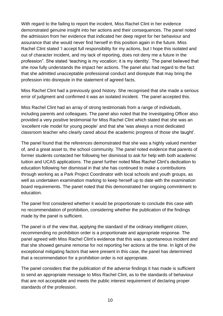With regard to the failing to report the incident, Miss Rachel Clint in her evidence demonstrated genuine insight into her actions and their consequences. The panel noted the admission from her evidence that indicated her deep regret for her behaviour and assurance that she would never find herself in this position again in the future. Miss Rachel Clint stated 'I accept full responsibility for my actions, but I hope this isolated and out of character incident, and my lack of reporting, does not deny me a future in the profession". She stated 'teaching is my vocation; it is my identity'. The panel believed that she now fully understands the impact her actions. The panel also had regard to the fact that she admitted unacceptable professional conduct and disrepute that may bring the profession into disrepute in the statement of agreed facts.

Miss Rachel Clint had a previously good history. She recognised that she made a serious error of judgment and confirmed it was an isolated incident. The panel accepted this.

Miss Rachel Clint had an array of strong testimonials from a range of individuals, including parents and colleagues. The panel also noted that the Investigating Officer also provided a very positive testimonial for Miss Rachel Clint which stated that she was an 'excellent role model for young people' and that she 'was always a most dedicated classroom teacher who clearly cared about the academic progress of those she taught'.

The panel found that the references demonstrated that she was a highly valued member of, and a great asset to, the school community. The panel noted evidence that parents of former students contacted her following her dismissal to ask for help with both academic tuition and UCAS applications. The panel further noted Miss Rachel Clint's dedication to education following her dismissal in that she has continued to make a contributions through working as a Park Project Coordinator with local schools and youth groups, as well as undertaken examination marking to keep herself up to date with the examination board requirements. The panel noted that this demonstrated her ongoing commitment to education.

The panel first considered whether it would be proportionate to conclude this case with no recommendation of prohibition, considering whether the publication of the findings made by the panel is sufficient.

The panel is of the view that, applying the standard of the ordinary intelligent citizen, recommending no prohibition order is a proportionate and appropriate response. The panel agreed with Miss Rachel Clint's evidence that this was a spontaneous incident and that she showed genuine remorse for not reporting her actions at the time. In light of the exceptional mitigating factors that were present in this case, the panel has determined that a recommendation for a prohibition order is not appropriate.

The panel considers that the publication of the adverse findings it has made is sufficient to send an appropriate message to Miss Rachel Clint, as to the standards of behaviour that are not acceptable and meets the public interest requirement of declaring proper standards of the profession.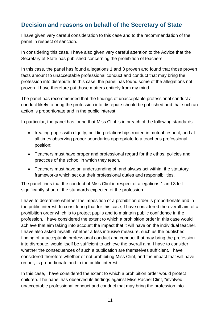## <span id="page-10-0"></span>**Decision and reasons on behalf of the Secretary of State**

I have given very careful consideration to this case and to the recommendation of the panel in respect of sanction.

In considering this case, I have also given very careful attention to the Advice that the Secretary of State has published concerning the prohibition of teachers.

In this case, the panel has found allegations 1 and 3 proven and found that those proven facts amount to unacceptable professional conduct and conduct that may bring the profession into disrepute. In this case, the panel has found some of the allegations not proven. I have therefore put those matters entirely from my mind.

The panel has recommended that the findings of unacceptable professional conduct / conduct likely to bring the profession into disrepute should be published and that such an action is proportionate and in the public interest.

In particular, the panel has found that Miss Clint is in breach of the following standards:

- treating pupils with dignity, building relationships rooted in mutual respect, and at all times observing proper boundaries appropriate to a teacher's professional position;
- Teachers must have proper and professional regard for the ethos, policies and practices of the school in which they teach.
- Teachers must have an understanding of, and always act within, the statutory frameworks which set out their professional duties and responsibilities.

The panel finds that the conduct of Miss Clint in respect of allegations 1 and 3 fell significantly short of the standards expected of the profession.

I have to determine whether the imposition of a prohibition order is proportionate and in the public interest. In considering that for this case, I have considered the overall aim of a prohibition order which is to protect pupils and to maintain public confidence in the profession. I have considered the extent to which a prohibition order in this case would achieve that aim taking into account the impact that it will have on the individual teacher. I have also asked myself, whether a less intrusive measure, such as the published finding of unacceptable professional conduct and conduct that may bring the profession into disrepute, would itself be sufficient to achieve the overall aim. I have to consider whether the consequences of such a publication are themselves sufficient. I have considered therefore whether or not prohibiting Miss Clint, and the impact that will have on her, is proportionate and in the public interest.

In this case, I have considered the extent to which a prohibition order would protect children. The panel has observed its findings against Miss Rachel Clint, "involved unacceptable professional conduct and conduct that may bring the profession into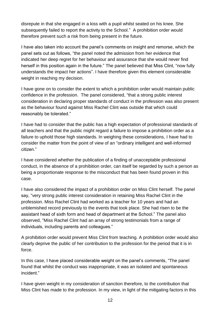disrepute in that she engaged in a kiss with a pupil whilst seated on his knee. She subsequently failed to report the activity to the School." A prohibition order would therefore prevent such a risk from being present in the future.

I have also taken into account the panel's comments on insight and remorse, which the panel sets out as follows, "the panel noted the admission from her evidence that indicated her deep regret for her behaviour and assurance that she would never find herself in this position again in the future." The panel believed that Miss Clint, "now fully understands the impact her actions". I have therefore given this element considerable weight in reaching my decision.

I have gone on to consider the extent to which a prohibition order would maintain public confidence in the profession. The panel considered, "that a strong public interest consideration in declaring proper standards of conduct in the profession was also present as the behaviour found against Miss Rachel Clint was outside that which could reasonably be tolerated."

I have had to consider that the public has a high expectation of professional standards of all teachers and that the public might regard a failure to impose a prohibition order as a failure to uphold those high standards. In weighing these considerations, I have had to consider the matter from the point of view of an "ordinary intelligent and well-informed citizen."

I have considered whether the publication of a finding of unacceptable professional conduct, in the absence of a prohibition order, can itself be regarded by such a person as being a proportionate response to the misconduct that has been found proven in this case.

I have also considered the impact of a prohibition order on Miss Clint herself. The panel say, "very strong public interest consideration in retaining Miss Rachel Clint in the profession. Miss Rachel Clint had worked as a teacher for 10 years and had an unblemished record previously to the events that took place. She had risen to be the assistant head of sixth form and head of department at the School." The panel also observed, "Miss Rachel Clint had an array of strong testimonials from a range of individuals, including parents and colleagues."

A prohibition order would prevent Miss Clint from teaching. A prohibition order would also clearly deprive the public of her contribution to the profession for the period that it is in force.

In this case, I have placed considerable weight on the panel's comments, "The panel found that whilst the conduct was inappropriate, it was an isolated and spontaneous incident."

I have given weight in my consideration of sanction therefore, to the contribution that Miss Clint has made to the profession. In my view, in light of the mitigating factors in this